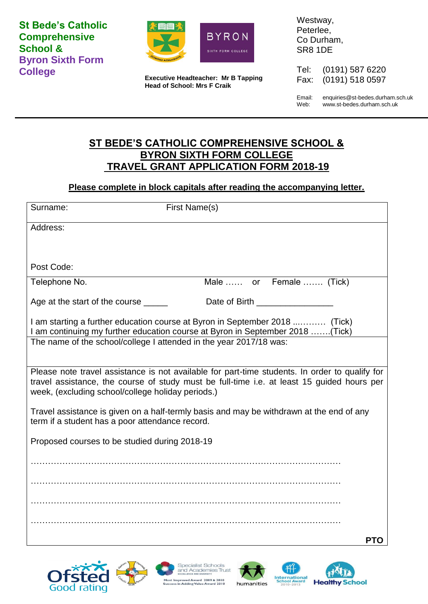**St Bede's Catholic Comprehensive School & Byron Sixth Form College**



**Executive Headteacher: Mr B Tapping Head of School: Mrs F Craik**

Westway, Peterlee, Co Durham, SR8 1DE

Tel: (0191) 587 6220 Fax: (0191) 518 0597

Email: enquiries@st-bedes.durham.sch.uk Web: www.st-bedes.durham.sch.uk

## **ST BEDE'S CATHOLIC COMPREHENSIVE SCHOOL & BYRON SIXTH FORM COLLEGE TRAVEL GRANT APPLICATION FORM 2018-19**

## **Please complete in block capitals after reading the accompanying letter.**

| Surname:                                                                                                                                                                                                                                          | First Name(s)                                                      |     |  |
|---------------------------------------------------------------------------------------------------------------------------------------------------------------------------------------------------------------------------------------------------|--------------------------------------------------------------------|-----|--|
| Address:                                                                                                                                                                                                                                          |                                                                    |     |  |
|                                                                                                                                                                                                                                                   |                                                                    |     |  |
| Post Code:                                                                                                                                                                                                                                        |                                                                    |     |  |
| Telephone No.                                                                                                                                                                                                                                     | Male  or Female  (Tick)                                            |     |  |
| Age at the start of the course ______                                                                                                                                                                                                             |                                                                    |     |  |
| I am starting a further education course at Byron in September 2018  (Tick)<br>I am continuing my further education course at Byron in September 2018 (Tick)                                                                                      |                                                                    |     |  |
|                                                                                                                                                                                                                                                   | The name of the school/college I attended in the year 2017/18 was: |     |  |
| Please note travel assistance is not available for part-time students. In order to qualify for<br>travel assistance, the course of study must be full-time i.e. at least 15 guided hours per<br>week, (excluding school/college holiday periods.) |                                                                    |     |  |
| Travel assistance is given on a half-termly basis and may be withdrawn at the end of any<br>term if a student has a poor attendance record.                                                                                                       |                                                                    |     |  |
| Proposed courses to be studied during 2018-19                                                                                                                                                                                                     |                                                                    |     |  |
|                                                                                                                                                                                                                                                   |                                                                    |     |  |
|                                                                                                                                                                                                                                                   |                                                                    |     |  |
|                                                                                                                                                                                                                                                   |                                                                    |     |  |
|                                                                                                                                                                                                                                                   |                                                                    |     |  |
|                                                                                                                                                                                                                                                   |                                                                    | PTO |  |